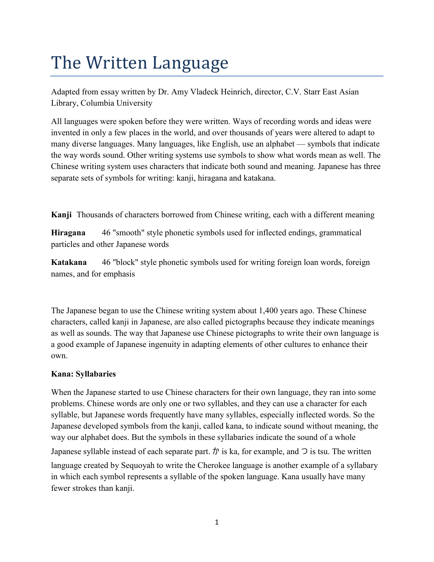## The Written Language

Adapted from essay written by Dr. Amy Vladeck Heinrich, director, C.V. Starr East Asian Library, Columbia University

All languages were spoken before they were written. Ways of recording words and ideas were invented in only a few places in the world, and over thousands of years were altered to adapt to many diverse languages. Many languages, like English, use an alphabet — symbols that indicate the way words sound. Other writing systems use symbols to show what words mean as well. The Chinese writing system uses characters that indicate both sound and meaning. Japanese has three separate sets of symbols for writing: kanji, hiragana and katakana.

**Kanji** Thousands of characters borrowed from Chinese writing, each with a different meaning

**Hiragana** 46 "smooth" style phonetic symbols used for inflected endings, grammatical particles and other Japanese words

**Katakana** 46 "block" style phonetic symbols used for writing foreign loan words, foreign names, and for emphasis

The Japanese began to use the Chinese writing system about 1,400 years ago. These Chinese characters, called kanji in Japanese, are also called pictographs because they indicate meanings as well as sounds. The way that Japanese use Chinese pictographs to write their own language is a good example of Japanese ingenuity in adapting elements of other cultures to enhance their own.

## **Kana: Syllabaries**

When the Japanese started to use Chinese characters for their own language, they ran into some problems. Chinese words are only one or two syllables, and they can use a character for each syllable, but Japanese words frequently have many syllables, especially inflected words. So the Japanese developed symbols from the kanji, called kana, to indicate sound without meaning, the way our alphabet does. But the symbols in these syllabaries indicate the sound of a whole Japanese syllable instead of each separate part.  $\psi$  is ka, for example, and  $\supset$  is tsu. The written language created by Sequoyah to write the Cherokee language is another example of a syllabary in which each symbol represents a syllable of the spoken language. Kana usually have many fewer strokes than kanji.